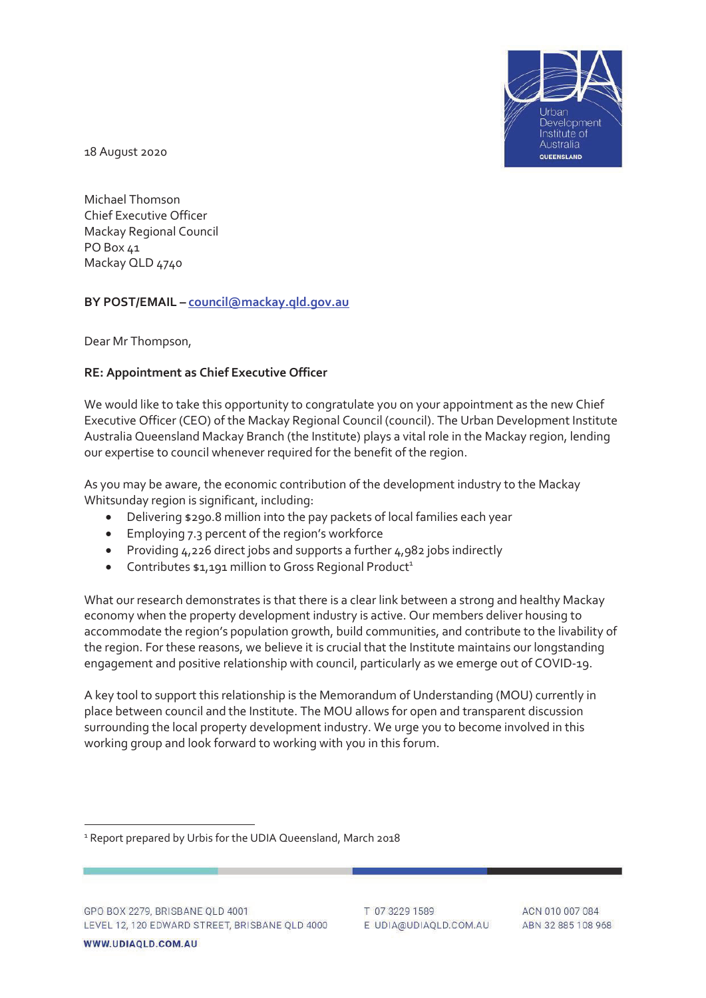

18 August 2020

Michael Thomson Chief Executive Officer Mackay Regional Council PO Box 41 Mackay QLD 4740

## **BY POST/EMAIL – council@mackay.qld.gov.au**

Dear Mr Thompson,

## **RE: Appointment as Chief Executive Officer**

We would like to take this opportunity to congratulate you on your appointment as the new Chief Executive Officer (CEO) of the Mackay Regional Council (council). The Urban Development Institute Australia Queensland Mackay Branch (the Institute) plays a vital role in the Mackay region, lending our expertise to council whenever required for the benefit of the region.

As you may be aware, the economic contribution of the development industry to the Mackay Whitsunday region is significant, including:

- Delivering \$290.8 million into the pay packets of local families each year
- Employing 7.3 percent of the region's workforce
- Providing  $4,226$  direct jobs and supports a further  $4,982$  jobs indirectly
- Contributes  $$1,191$  million to Gross Regional Product<sup>1</sup>

What our research demonstrates is that there is a clear link between a strong and healthy Mackay economy when the property development industry is active. Our members deliver housing to accommodate the region's population growth, build communities, and contribute to the livability of the region. For these reasons, we believe it is crucial that the Institute maintains our longstanding engagement and positive relationship with council, particularly as we emerge out of COVID-19.

A key tool to support this relationship is the Memorandum of Understanding (MOU) currently in place between council and the Institute. The MOU allows for open and transparent discussion surrounding the local property development industry. We urge you to become involved in this working group and look forward to working with you in this forum.

T 07 3229 1589 E UDIA@UDIAQLD.COM.AU

ACN 010 007 084 ABN 32 885 108 968

<sup>&</sup>lt;sup>1</sup> Report prepared by Urbis for the UDIA Queensland, March 2018